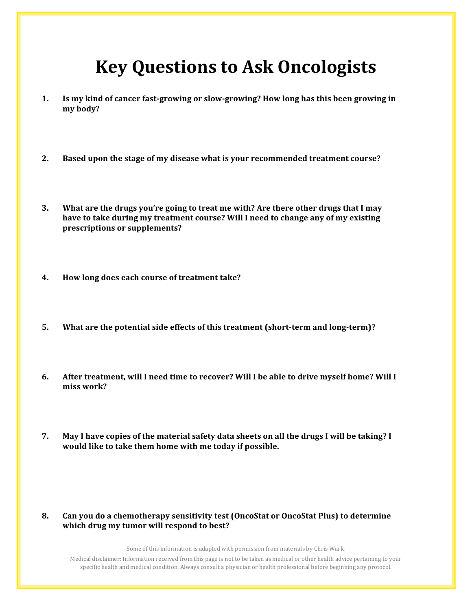## **Key Questions to Ask Oncologists**

- **1.** Is my kind of cancer fast-growing or slow-growing? How long has this been growing in **my body?**
- **2.** Based upon the stage of my disease what is your recommended treatment course?
- **3. What are the drugs you're going to treat me with? Are there other drugs that I may** have to take during my treatment course? Will I need to change any of my existing **prescriptions or supplements?**
- 4. How long does each course of treatment take?
- **5.** What are the potential side effects of this treatment (short-term and long-term)?
- 6. After treatment, will I need time to recover? Will I be able to drive myself home? Will I miss work?
- **7.** May I have copies of the material safety data sheets on all the drugs I will be taking? I would like to take them home with me today if possible.
- **8.** Can you do a chemotherapy sensitivity test (OncoStat or OncoStat Plus) to determine which drug my tumor will respond to best?

Some of this information is adapted with permission from materials by Chris Wark.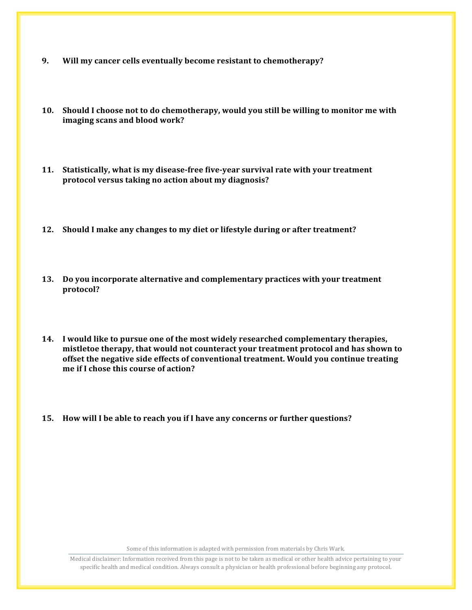- **9.** Will my cancer cells eventually become resistant to chemotherapy?
- 10. Should I choose not to do chemotherapy, would you still be willing to monitor me with imaging scans and blood work?
- **11.** Statistically, what is my disease-free five-year survival rate with your treatment protocol versus taking no action about my diagnosis?
- **12.** Should I make any changes to my diet or lifestyle during or after treatment?
- **13.** Do you incorporate alternative and complementary practices with your treatment **protocol?**
- **14.** I would like to pursue one of the most widely researched complementary therapies, mistletoe therapy, that would not counteract your treatment protocol and has shown to offset the negative side effects of conventional treatment. Would you continue treating **me** if I chose this course of action?
- **15.** How will I be able to reach you if I have any concerns or further questions?

Some of this information is adapted with permission from materials by Chris Wark.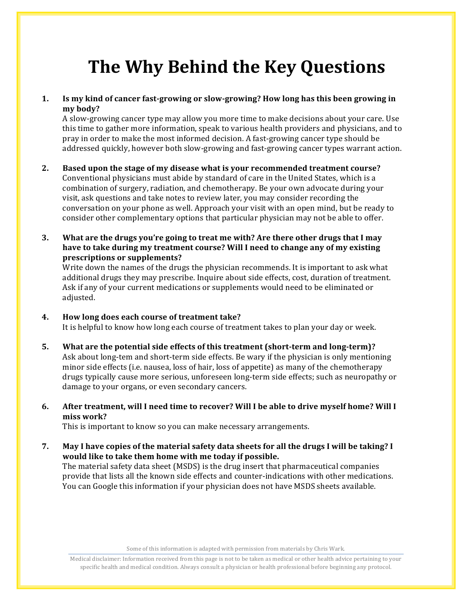# **The Why Behind the Key Questions**

#### **1.** Is my kind of cancer fast-growing or slow-growing? How long has this been growing in **my body?**

A slow-growing cancer type may allow you more time to make decisions about your care. Use this time to gather more information, speak to various health providers and physicians, and to pray in order to make the most informed decision. A fast-growing cancer type should be addressed quickly, however both slow-growing and fast-growing cancer types warrant action.

- **2.** Based upon the stage of my disease what is your recommended treatment course? Conventional physicians must abide by standard of care in the United States, which is a combination of surgery, radiation, and chemotherapy. Be your own advocate during your visit, ask questions and take notes to review later, you may consider recording the conversation on your phone as well. Approach your visit with an open mind, but be ready to consider other complementary options that particular physician may not be able to offer.
- **3. What** are the drugs you're going to treat me with? Are there other drugs that I may have to take during my treatment course? Will I need to change any of my existing **prescriptions or supplements?**

Write down the names of the drugs the physician recommends. It is important to ask what additional drugs they may prescribe. Inquire about side effects, cost, duration of treatment. Ask if any of your current medications or supplements would need to be eliminated or adjusted. 

- 4. How long does each course of treatment take? It is helpful to know how long each course of treatment takes to plan your day or week.
- **5.** What are the potential side effects of this treatment (short-term and long-term)? Ask about long-tem and short-term side effects. Be wary if the physician is only mentioning minor side effects (i.e. nausea, loss of hair, loss of appetite) as many of the chemotherapy drugs typically cause more serious, unforeseen long-term side effects; such as neuropathy or damage to your organs, or even secondary cancers.
- 6. After treatment, will I need time to recover? Will I be able to drive myself home? Will I **miss work?**

This is important to know so you can make necessary arrangements.

**7.** May I have copies of the material safety data sheets for all the drugs I will be taking? I would like to take them home with me today if possible. The material safety data sheet (MSDS) is the drug insert that pharmaceutical companies provide that lists all the known side effects and counter-indications with other medications. You can Google this information if your physician does not have MSDS sheets available.

Some of this information is adapted with permission from materials by Chris Wark.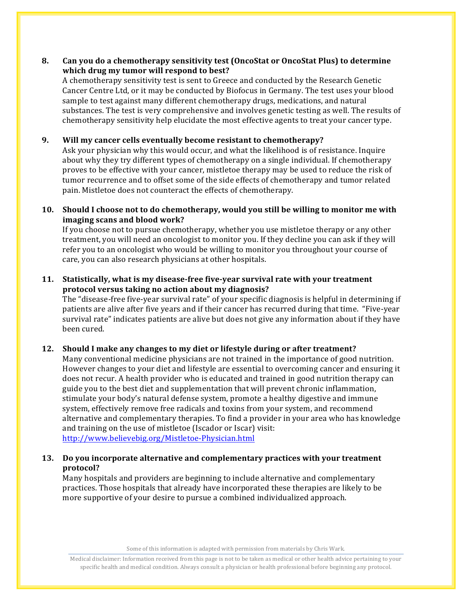#### **8.** Can you do a chemotherapy sensitivity test (OncoStat or OncoStat Plus) to determine **which drug my tumor will respond to best?**

A chemotherapy sensitivity test is sent to Greece and conducted by the Research Genetic Cancer Centre Ltd, or it may be conducted by Biofocus in Germany. The test uses your blood sample to test against many different chemotherapy drugs, medications, and natural substances. The test is very comprehensive and involves genetic testing as well. The results of chemotherapy sensitivity help elucidate the most effective agents to treat your cancer type.

#### **9.** Will my cancer cells eventually become resistant to chemotherapy?

Ask your physician why this would occur, and what the likelihood is of resistance. Inquire about why they try different types of chemotherapy on a single individual. If chemotherapy proves to be effective with your cancer, mistletoe therapy may be used to reduce the risk of tumor recurrence and to offset some of the side effects of chemotherapy and tumor related pain. Mistletoe does not counteract the effects of chemotherapy.

#### **10.** Should I choose not to do chemotherapy, would you still be willing to monitor me with **imaging scans and blood work?**

If you choose not to pursue chemotherapy, whether you use mistletoe therapy or any other treatment, you will need an oncologist to monitor you. If they decline you can ask if they will refer you to an oncologist who would be willing to monitor you throughout your course of care, you can also research physicians at other hospitals.

#### **11.** Statistically, what is my disease-free five-year survival rate with your treatment protocol versus taking no action about my diagnosis?

The "disease-free five-year survival rate" of your specific diagnosis is helpful in determining if patients are alive after five years and if their cancer has recurred during that time. "Five-year survival rate" indicates patients are alive but does not give any information about if they have been cured. 

#### **12.** Should I make any changes to my diet or lifestyle during or after treatment?

Many conventional medicine physicians are not trained in the importance of good nutrition. However changes to your diet and lifestyle are essential to overcoming cancer and ensuring it does not recur. A health provider who is educated and trained in good nutrition therapy can guide you to the best diet and supplementation that will prevent chronic inflammation, stimulate your body's natural defense system, promote a healthy digestive and immune system, effectively remove free radicals and toxins from your system, and recommend alternative and complementary therapies. To find a provider in your area who has knowledge and training on the use of mistletoe (Iscador or Iscar) visit: http://www.believebig.org/Mistletoe-Physician.html

#### **13.** Do you incorporate alternative and complementary practices with your treatment **protocol?**

Many hospitals and providers are beginning to include alternative and complementary practices. Those hospitals that already have incorporated these therapies are likely to be more supportive of your desire to pursue a combined individualized approach.

Some of this information is adapted with permission from materials by Chris Wark.